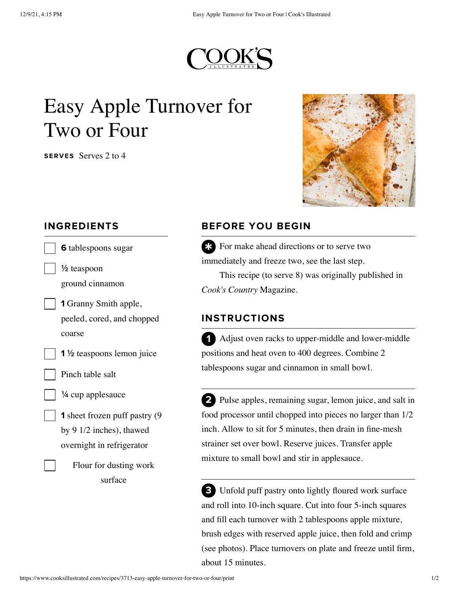

## Easy Apple Turnover for Two or Four

SERVES Serves 2 to 4



## INGREDIENTS

| <b>6</b> tablespoons sugar            |
|---------------------------------------|
| $\frac{1}{2}$ teaspoon                |
| ground cinnamon                       |
| <b>1</b> Granny Smith apple,          |
| peeled, cored, and chopped            |
| coarse                                |
| 1 ½ teaspoons lemon juice             |
| Pinch table salt                      |
| 1/4 cup applesauce                    |
| <b>1</b> sheet frozen puff pastry (9) |
| by 9 1/2 inches), thawed              |
| overnight in refrigerator             |
| Flour for dusting work                |
| surface                               |
|                                       |
|                                       |

## BEFORE YOU BEGIN

 $\ast$  For make ahead directions or to serve two<br>mmediately and freeze two see the last step immediately and freeze two, see the last step.

This recipe (to serve 8) was originally published in *Cook's Country* Magazine.

## INSTRUCTIONS

Adjust oven racks to upper-middle and lower-middle positions and heat oven to 400 degrees. Combine 2 tablespoons sugar and cinnamon in small bowl. 1

2 Pulse apples, remaining sugar, lemon juice, and salt in food processor until chopped into pieces no larger than 1/2 inch. Allow to sit for 5 minutes, then drain in fine-mesh strainer set over bowl. Reserve juices. Transfer apple mixture to small bowl and stir in applesauce.

Unfold puff pastry onto lightly floured work surface 3and roll into 10-inch square. Cut into four 5-inch squares and fill each turnover with 2 tablespoons apple mixture, brush edges with reserved apple juice, then fold and crimp (see photos). Place turnovers on plate and freeze until firm, about 15 minutes.